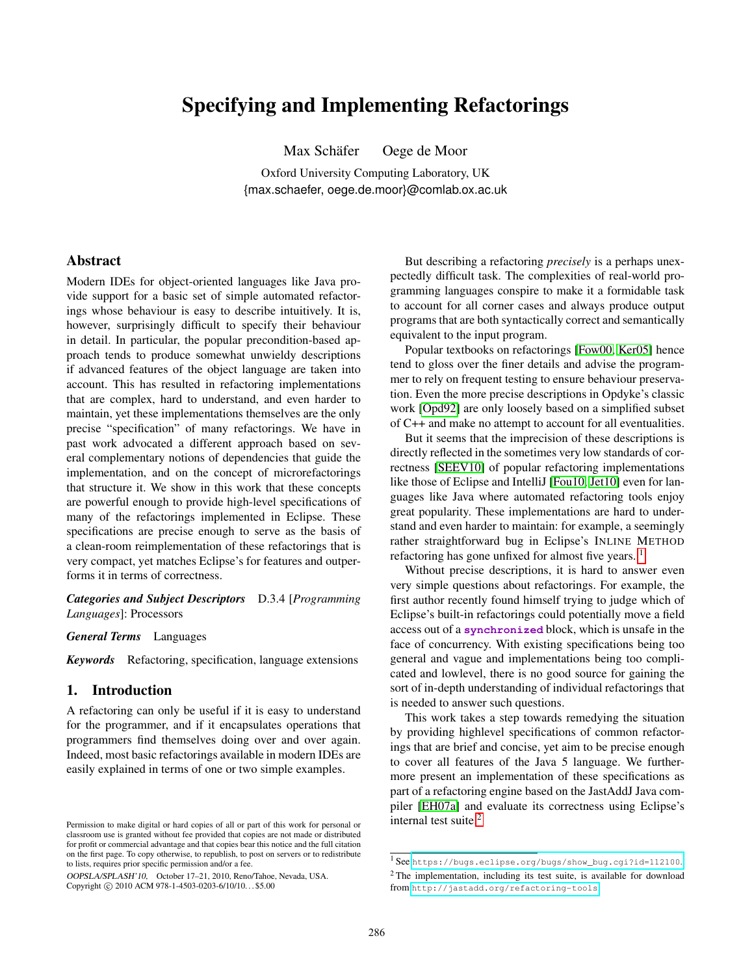# Specifying and Implementing Refactorings

Max Schäfer Oege de Moor

Oxford University Computing Laboratory, UK {max.schaefer, oege.de.moor}@comlab.ox.ac.uk

#### Abstract

Modern IDEs for object-oriented languages like Java provide support for a basic set of simple automated refactorings whose behaviour is easy to describe intuitively. It is, however, surprisingly difficult to specify their behaviour in detail. In particular, the popular precondition-based approach tends to produce somewhat unwieldy descriptions if advanced features of the object language are taken into account. This has resulted in refactoring implementations that are complex, hard to understand, and even harder to maintain, yet these implementations themselves are the only precise "specification" of many refactorings. We have in past work advocated a different approach based on several complementary notions of dependencies that guide the implementation, and on the concept of microrefactorings that structure it. We show in this work that these concepts are powerful enough to provide high-level specifications of many of the refactorings implemented in Eclipse. These specifications are precise enough to serve as the basis of a clean-room reimplementation of these refactorings that is very compact, yet matches Eclipse's for features and outperforms it in terms of correctness.

*Categories and Subject Descriptors* D.3.4 [*Programming Languages*]: Processors

*General Terms* Languages

*Keywords* Refactoring, specification, language extensions

## 1. Introduction

A refactoring can only be useful if it is easy to understand for the programmer, and if it encapsulates operations that programmers find themselves doing over and over again. Indeed, most basic refactorings available in modern IDEs are easily explained in terms of one or two simple examples.

OOPSLA/SPLASH'10, October 17–21, 2010, Reno/Tahoe, Nevada, USA. Copyright © 2010 ACM 978-1-4503-0203-6/10/10... \$5.00

But describing a refactoring *precisely* is a perhaps unexpectedly difficult task. The complexities of real-world programming languages conspire to make it a formidable task to account for all corner cases and always produce output programs that are both syntactically correct and semantically equivalent to the input program.

Popular textbooks on refactorings [\[Fow00,](#page-15-0) [Ker05\]](#page-15-1) hence tend to gloss over the finer details and advise the programmer to rely on frequent testing to ensure behaviour preservation. Even the more precise descriptions in Opdyke's classic work [\[Opd92\]](#page-15-2) are only loosely based on a simplified subset of C++ and make no attempt to account for all eventualities.

But it seems that the imprecision of these descriptions is directly reflected in the sometimes very low standards of correctness [\[SEEV10\]](#page-15-3) of popular refactoring implementations like those of Eclipse and IntelliJ [\[Fou10,](#page-15-4) [Jet10\]](#page-15-5) even for languages like Java where automated refactoring tools enjoy great popularity. These implementations are hard to understand and even harder to maintain: for example, a seemingly rather straightforward bug in Eclipse's INLINE METHOD refactoring has gone unfixed for almost five years.  $<sup>1</sup>$  $<sup>1</sup>$  $<sup>1</sup>$ </sup>

Without precise descriptions, it is hard to answer even very simple questions about refactorings. For example, the first author recently found himself trying to judge which of Eclipse's built-in refactorings could potentially move a field access out of a **synchronized** block, which is unsafe in the face of concurrency. With existing specifications being too general and vague and implementations being too complicated and lowlevel, there is no good source for gaining the sort of in-depth understanding of individual refactorings that is needed to answer such questions.

This work takes a step towards remedying the situation by providing highlevel specifications of common refactorings that are brief and concise, yet aim to be precise enough to cover all features of the Java 5 language. We furthermore present an implementation of these specifications as part of a refactoring engine based on the JastAddJ Java compiler [\[EH07a\]](#page-14-0) and evaluate its correctness using Eclipse's internal test suite.[2](#page-0-1)

Permission to make digital or hard copies of all or part of this work for personal or classroom use is granted without fee provided that copies are not made or distributed for profit or commercial advantage and that copies bear this notice and the full citation on the first page. To copy otherwise, to republish, to post on servers or to redistribute to lists, requires prior specific permission and/or a fee.

<span id="page-0-1"></span><span id="page-0-0"></span><sup>1</sup> See [https://bugs.eclipse.org/bugs/show\\_bug.cgi?id=112100](https://bugs.eclipse.org/bugs/show_bug.cgi?id=112100). <sup>2</sup> The implementation, including its test suite, is available for download from <http://jastadd.org/refactoring-tools>.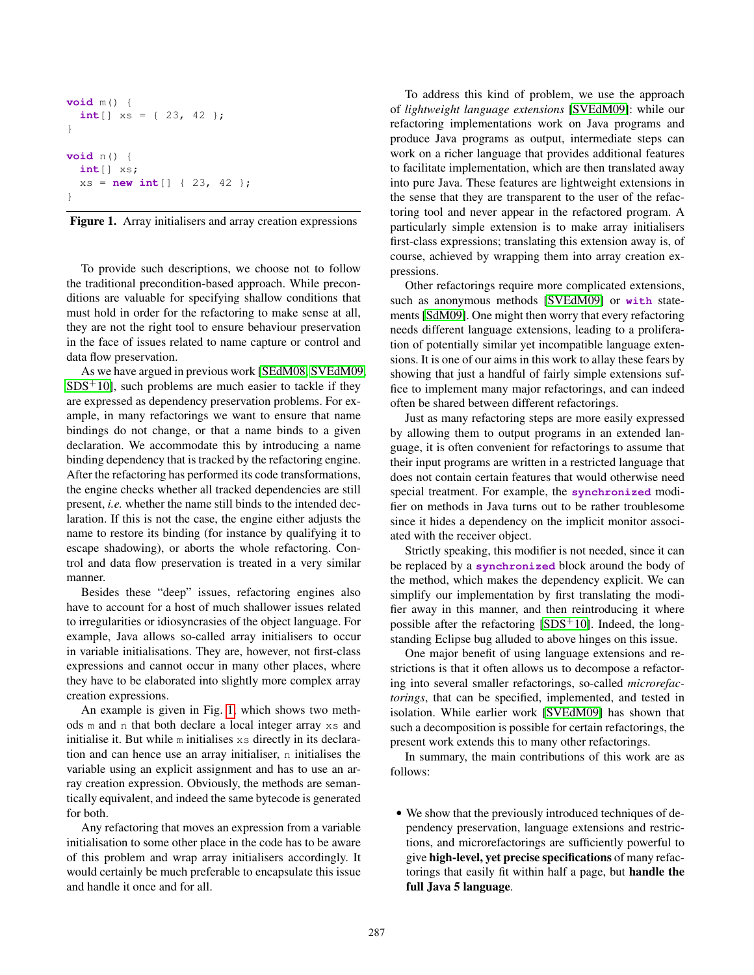```
void m() {
  int[] xs = { 23, 42 };
}
void n() {
  int[] xs;
  xs = new int[] { 23, 42 };
}
```
<span id="page-1-0"></span>Figure 1. Array initialisers and array creation expressions

To provide such descriptions, we choose not to follow the traditional precondition-based approach. While preconditions are valuable for specifying shallow conditions that must hold in order for the refactoring to make sense at all, they are not the right tool to ensure behaviour preservation in the face of issues related to name capture or control and data flow preservation.

As we have argued in previous work [\[SEdM08,](#page-15-6) [SVEdM09,](#page-15-7)  $SDS<sup>+</sup>10$  $SDS<sup>+</sup>10$ , such problems are much easier to tackle if they are expressed as dependency preservation problems. For example, in many refactorings we want to ensure that name bindings do not change, or that a name binds to a given declaration. We accommodate this by introducing a name binding dependency that is tracked by the refactoring engine. After the refactoring has performed its code transformations, the engine checks whether all tracked dependencies are still present, *i.e.* whether the name still binds to the intended declaration. If this is not the case, the engine either adjusts the name to restore its binding (for instance by qualifying it to escape shadowing), or aborts the whole refactoring. Control and data flow preservation is treated in a very similar manner.

Besides these "deep" issues, refactoring engines also have to account for a host of much shallower issues related to irregularities or idiosyncrasies of the object language. For example, Java allows so-called array initialisers to occur in variable initialisations. They are, however, not first-class expressions and cannot occur in many other places, where they have to be elaborated into slightly more complex array creation expressions.

An example is given in Fig. [1,](#page-1-0) which shows two methods m and n that both declare a local integer array xs and initialise it. But while  $m$  initialises  $x$ s directly in its declaration and can hence use an array initialiser, n initialises the variable using an explicit assignment and has to use an array creation expression. Obviously, the methods are semantically equivalent, and indeed the same bytecode is generated for both.

Any refactoring that moves an expression from a variable initialisation to some other place in the code has to be aware of this problem and wrap array initialisers accordingly. It would certainly be much preferable to encapsulate this issue and handle it once and for all.

To address this kind of problem, we use the approach of *lightweight language extensions* [\[SVEdM09\]](#page-15-7): while our refactoring implementations work on Java programs and produce Java programs as output, intermediate steps can work on a richer language that provides additional features to facilitate implementation, which are then translated away into pure Java. These features are lightweight extensions in the sense that they are transparent to the user of the refactoring tool and never appear in the refactored program. A particularly simple extension is to make array initialisers first-class expressions; translating this extension away is, of course, achieved by wrapping them into array creation expressions.

Other refactorings require more complicated extensions, such as anonymous methods [\[SVEdM09\]](#page-15-7) or **with** statements [\[SdM09\]](#page-15-9). One might then worry that every refactoring needs different language extensions, leading to a proliferation of potentially similar yet incompatible language extensions. It is one of our aims in this work to allay these fears by showing that just a handful of fairly simple extensions suffice to implement many major refactorings, and can indeed often be shared between different refactorings.

Just as many refactoring steps are more easily expressed by allowing them to output programs in an extended language, it is often convenient for refactorings to assume that their input programs are written in a restricted language that does not contain certain features that would otherwise need special treatment. For example, the **synchronized** modifier on methods in Java turns out to be rather troublesome since it hides a dependency on the implicit monitor associated with the receiver object.

Strictly speaking, this modifier is not needed, since it can be replaced by a **synchronized** block around the body of the method, which makes the dependency explicit. We can simplify our implementation by first translating the modifier away in this manner, and then reintroducing it where possible after the refactoring  $[SDS<sup>+</sup>10]$  $[SDS<sup>+</sup>10]$ . Indeed, the longstanding Eclipse bug alluded to above hinges on this issue.

One major benefit of using language extensions and restrictions is that it often allows us to decompose a refactoring into several smaller refactorings, so-called *microrefactorings*, that can be specified, implemented, and tested in isolation. While earlier work [\[SVEdM09\]](#page-15-7) has shown that such a decomposition is possible for certain refactorings, the present work extends this to many other refactorings.

In summary, the main contributions of this work are as follows:

• We show that the previously introduced techniques of dependency preservation, language extensions and restrictions, and microrefactorings are sufficiently powerful to give high-level, yet precise specifications of many refactorings that easily fit within half a page, but handle the full Java 5 language.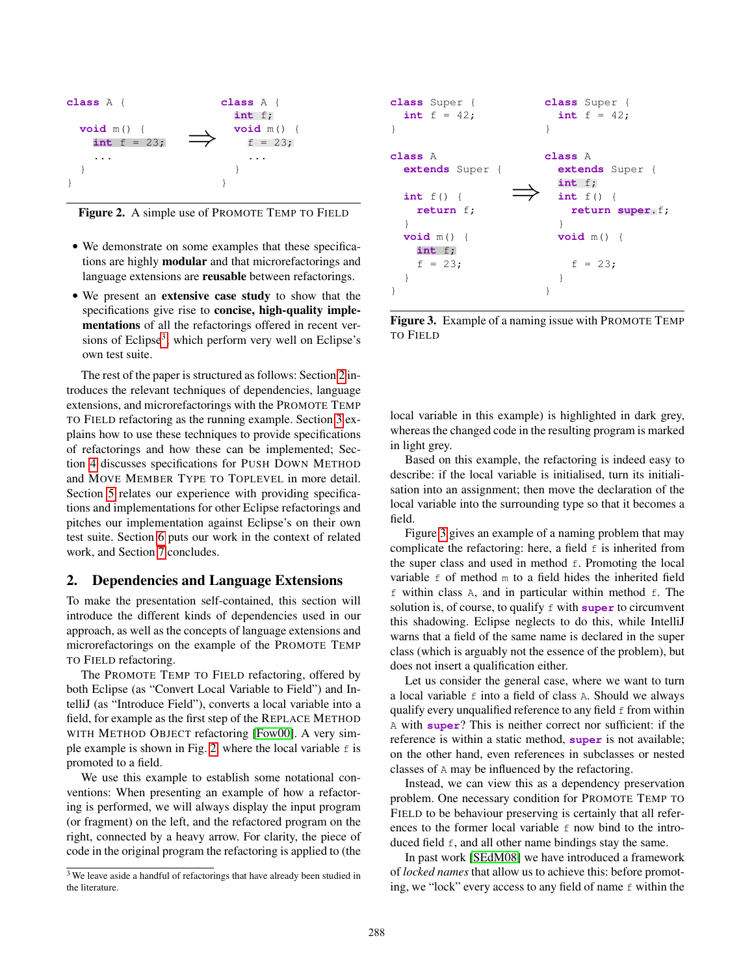

Figure 2. A simple use of PROMOTE TEMP TO FIELD

- We demonstrate on some examples that these specifications are highly modular and that microrefactorings and language extensions are reusable between refactorings.
- We present an extensive case study to show that the specifications give rise to concise, high-quality implementations of all the refactorings offered in recent ver-sions of Eclipse<sup>[3](#page-2-0)</sup>, which perform very well on Eclipse's own test suite.

The rest of the paper is structured as follows: Section [2](#page-2-1) introduces the relevant techniques of dependencies, language extensions, and microrefactorings with the PROMOTE TEMP TO FIELD refactoring as the running example. Section [3](#page-4-0) explains how to use these techniques to provide specifications of refactorings and how these can be implemented; Section [4](#page-6-0) discusses specifications for PUSH DOWN METHOD and MOVE MEMBER TYPE TO TOPLEVEL in more detail. Section [5](#page-10-0) relates our experience with providing specifications and implementations for other Eclipse refactorings and pitches our implementation against Eclipse's on their own test suite. Section [6](#page-12-0) puts our work in the context of related work, and Section [7](#page-14-1) concludes.

#### <span id="page-2-1"></span>2. Dependencies and Language Extensions

To make the presentation self-contained, this section will introduce the different kinds of dependencies used in our approach, as well as the concepts of language extensions and microrefactorings on the example of the PROMOTE TEMP TO FIELD refactoring.

The PROMOTE TEMP TO FIELD refactoring, offered by both Eclipse (as "Convert Local Variable to Field") and IntelliJ (as "Introduce Field"), converts a local variable into a field, for example as the first step of the REPLACE METHOD WITH METHOD OBJECT refactoring [\[Fow00\]](#page-15-0). A very sim-ple example is shown in Fig. [2,](#page-2-2) where the local variable  $f$  is promoted to a field.

We use this example to establish some notational conventions: When presenting an example of how a refactoring is performed, we will always display the input program (or fragment) on the left, and the refactored program on the right, connected by a heavy arrow. For clarity, the piece of code in the original program the refactoring is applied to (the

```
class Super {
  int f = 42;
}
class A
  extends Super {
  int f() {
    return f;
  }
  void m() {
    int f;
    f = 23;}
}
                    ⇒
                         class Super {
                            int f = 42;
                          }
                         class A
                            extends Super {
                            int f;
                            int f() {
                              return super.f;
                            }
                            void m() {
                              f = 23;}
                         }
```
Figure 3. Example of a naming issue with PROMOTE TEMP TO FIELD

local variable in this example) is highlighted in dark grey, whereas the changed code in the resulting program is marked in light grey.

Based on this example, the refactoring is indeed easy to describe: if the local variable is initialised, turn its initialisation into an assignment; then move the declaration of the local variable into the surrounding type so that it becomes a field.

Figure [3](#page-2-3) gives an example of a naming problem that may complicate the refactoring: here, a field  $f$  is inherited from the super class and used in method  $f$ . Promoting the local variable f of method m to a field hides the inherited field  $f$  within class A, and in particular within method  $f$ . The solution is, of course, to qualify f with **super** to circumvent this shadowing. Eclipse neglects to do this, while IntelliJ warns that a field of the same name is declared in the super class (which is arguably not the essence of the problem), but does not insert a qualification either.

Let us consider the general case, where we want to turn a local variable  $f$  into a field of class A. Should we always qualify every unqualified reference to any field  $\epsilon$  from within A with **super**? This is neither correct nor sufficient: if the reference is within a static method, **super** is not available; on the other hand, even references in subclasses or nested classes of A may be influenced by the refactoring.

Instead, we can view this as a dependency preservation problem. One necessary condition for PROMOTE TEMP TO FIELD to be behaviour preserving is certainly that all references to the former local variable  $f$  now bind to the introduced field f, and all other name bindings stay the same.

In past work [\[SEdM08\]](#page-15-6) we have introduced a framework of *locked names* that allow us to achieve this: before promoting, we "lock" every access to any field of name  $\epsilon$  within the

<span id="page-2-0"></span> $3$  We leave aside a handful of refactorings that have already been studied in the literature.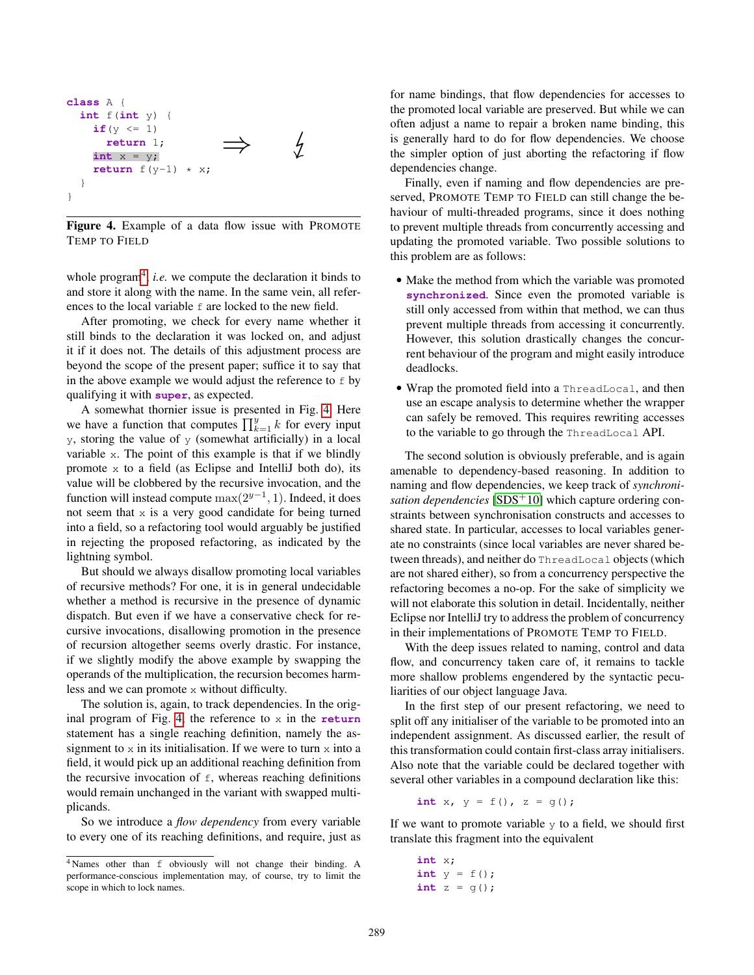```
class A {
  int f(int y) {
    if(y \le 1)
       return 1;
    int x = y;
    return f(y-1) \times x;
  }
}
                           \Rightarrow 4
```
Figure 4. Example of a data flow issue with PROMOTE TEMP TO FIELD

whole program<sup>[4](#page-3-0)</sup>, *i.e.* we compute the declaration it binds to and store it along with the name. In the same vein, all references to the local variable f are locked to the new field.

After promoting, we check for every name whether it still binds to the declaration it was locked on, and adjust it if it does not. The details of this adjustment process are beyond the scope of the present paper; suffice it to say that in the above example we would adjust the reference to  $f$  by qualifying it with **super**, as expected.

A somewhat thornier issue is presented in Fig. [4.](#page-3-1) Here we have a function that computes  $\prod_{k=1}^{y} k$  for every input  $y$ , storing the value of  $y$  (somewhat artificially) in a local variable x. The point of this example is that if we blindly promote x to a field (as Eclipse and IntelliJ both do), its value will be clobbered by the recursive invocation, and the function will instead compute  $max(2^{y-1}, 1)$ . Indeed, it does not seem that  $x$  is a very good candidate for being turned into a field, so a refactoring tool would arguably be justified in rejecting the proposed refactoring, as indicated by the lightning symbol.

But should we always disallow promoting local variables of recursive methods? For one, it is in general undecidable whether a method is recursive in the presence of dynamic dispatch. But even if we have a conservative check for recursive invocations, disallowing promotion in the presence of recursion altogether seems overly drastic. For instance, if we slightly modify the above example by swapping the operands of the multiplication, the recursion becomes harmless and we can promote x without difficulty.

The solution is, again, to track dependencies. In the original program of Fig. [4,](#page-3-1) the reference to x in the **return** statement has a single reaching definition, namely the assignment to  $x$  in its initialisation. If we were to turn  $x$  into a field, it would pick up an additional reaching definition from the recursive invocation of  $f$ , whereas reaching definitions would remain unchanged in the variant with swapped multiplicands.

So we introduce a *flow dependency* from every variable to every one of its reaching definitions, and require, just as for name bindings, that flow dependencies for accesses to the promoted local variable are preserved. But while we can often adjust a name to repair a broken name binding, this is generally hard to do for flow dependencies. We choose the simpler option of just aborting the refactoring if flow dependencies change.

<span id="page-3-1"></span>Finally, even if naming and flow dependencies are preserved, PROMOTE TEMP TO FIELD can still change the behaviour of multi-threaded programs, since it does nothing to prevent multiple threads from concurrently accessing and updating the promoted variable. Two possible solutions to this problem are as follows:

- Make the method from which the variable was promoted **synchronized**. Since even the promoted variable is still only accessed from within that method, we can thus prevent multiple threads from accessing it concurrently. However, this solution drastically changes the concurrent behaviour of the program and might easily introduce deadlocks.
- Wrap the promoted field into a ThreadLocal, and then use an escape analysis to determine whether the wrapper can safely be removed. This requires rewriting accesses to the variable to go through the ThreadLocal API.

The second solution is obviously preferable, and is again amenable to dependency-based reasoning. In addition to naming and flow dependencies, we keep track of *synchronisation dependencies* [\[SDS](#page-15-8)<sup>+</sup>10] which capture ordering constraints between synchronisation constructs and accesses to shared state. In particular, accesses to local variables generate no constraints (since local variables are never shared between threads), and neither do ThreadLocal objects (which are not shared either), so from a concurrency perspective the refactoring becomes a no-op. For the sake of simplicity we will not elaborate this solution in detail. Incidentally, neither Eclipse nor IntelliJ try to address the problem of concurrency in their implementations of PROMOTE TEMP TO FIELD.

With the deep issues related to naming, control and data flow, and concurrency taken care of, it remains to tackle more shallow problems engendered by the syntactic peculiarities of our object language Java.

In the first step of our present refactoring, we need to split off any initialiser of the variable to be promoted into an independent assignment. As discussed earlier, the result of this transformation could contain first-class array initialisers. Also note that the variable could be declared together with several other variables in a compound declaration like this:

**int**  $x, y = f()$ ,  $z = g()$ ;

If we want to promote variable  $y$  to a field, we should first translate this fragment into the equivalent

**int** x; **int**  $y = f()$ ;  $int z = g();$ 

<span id="page-3-0"></span><sup>4</sup> Names other than f obviously will not change their binding. A performance-conscious implementation may, of course, try to limit the scope in which to lock names.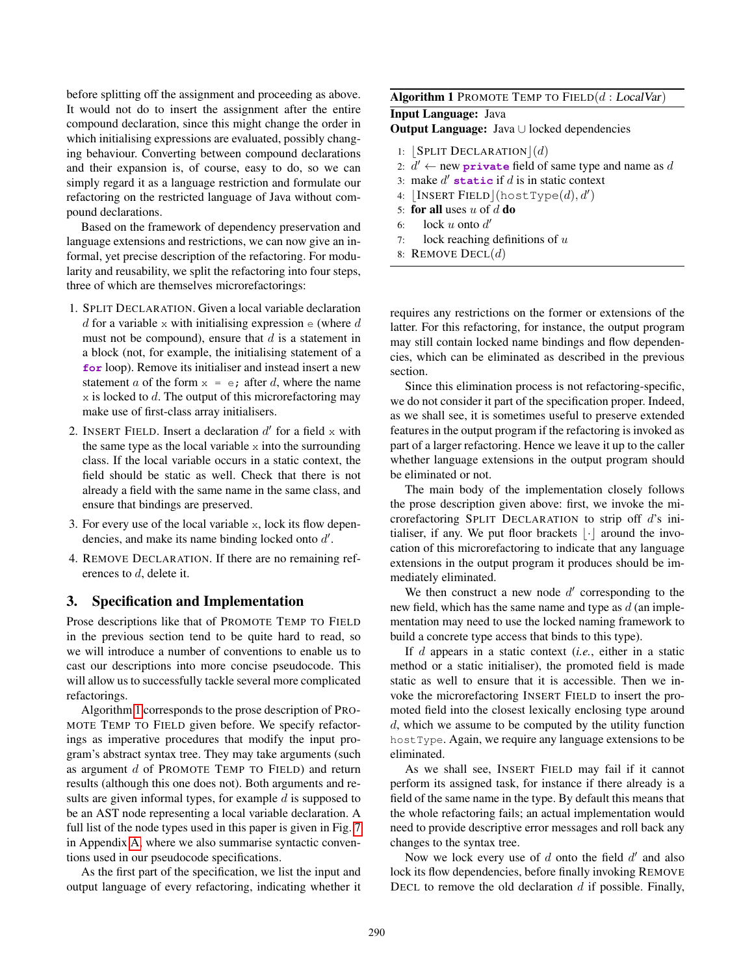before splitting off the assignment and proceeding as above. It would not do to insert the assignment after the entire compound declaration, since this might change the order in which initialising expressions are evaluated, possibly changing behaviour. Converting between compound declarations and their expansion is, of course, easy to do, so we can simply regard it as a language restriction and formulate our refactoring on the restricted language of Java without compound declarations.

Based on the framework of dependency preservation and language extensions and restrictions, we can now give an informal, yet precise description of the refactoring. For modularity and reusability, we split the refactoring into four steps, three of which are themselves microrefactorings:

- 1. SPLIT DECLARATION. Given a local variable declaration  $d$  for a variable x with initialising expression  $\in$  (where  $d$ must not be compound), ensure that  $d$  is a statement in a block (not, for example, the initialising statement of a **for** loop). Remove its initialiser and instead insert a new statement a of the form  $x = e$ ; after d, where the name  $x$  is locked to  $d$ . The output of this microrefactoring may make use of first-class array initialisers.
- 2. INSERT FIELD. Insert a declaration  $d'$  for a field x with the same type as the local variable  $x$  into the surrounding class. If the local variable occurs in a static context, the field should be static as well. Check that there is not already a field with the same name in the same class, and ensure that bindings are preserved.
- 3. For every use of the local variable x, lock its flow dependencies, and make its name binding locked onto  $d'$ .
- 4. REMOVE DECLARATION. If there are no remaining references to d, delete it.

### <span id="page-4-0"></span>3. Specification and Implementation

Prose descriptions like that of PROMOTE TEMP TO FIELD in the previous section tend to be quite hard to read, so we will introduce a number of conventions to enable us to cast our descriptions into more concise pseudocode. This will allow us to successfully tackle several more complicated refactorings.

Algorithm [1](#page-4-1) corresponds to the prose description of PRO-MOTE TEMP TO FIELD given before. We specify refactorings as imperative procedures that modify the input program's abstract syntax tree. They may take arguments (such as argument d of PROMOTE TEMP TO FIELD) and return results (although this one does not). Both arguments and results are given informal types, for example  $d$  is supposed to be an AST node representing a local variable declaration. A full list of the node types used in this paper is given in Fig. [7](#page-14-2) in Appendix [A,](#page-14-3) where we also summarise syntactic conventions used in our pseudocode specifications.

As the first part of the specification, we list the input and output language of every refactoring, indicating whether it

#### Algorithm 1 PROMOTE TEMP TO FIELD $(d:LocalVar)$

# <span id="page-4-1"></span>Input Language: Java

Output Language: Java ∪ locked dependencies

- 1:  $\text{SPLIT DECLARATION} (d)$
- 2:  $d' \leftarrow$  new **private** field of same type and name as  $d$
- 3: make  $d'$  static if  $d$  is in static context
- 4: [INSERT FIELD](hostType(d),  $d'$ )
- 5: for all uses  $u$  of  $d$  do
- 6: lock  $u$  onto  $d'$
- 7: lock reaching definitions of  $u$
- 8: REMOVE  $DECL(d)$

requires any restrictions on the former or extensions of the latter. For this refactoring, for instance, the output program may still contain locked name bindings and flow dependencies, which can be eliminated as described in the previous section.

Since this elimination process is not refactoring-specific, we do not consider it part of the specification proper. Indeed, as we shall see, it is sometimes useful to preserve extended features in the output program if the refactoring is invoked as part of a larger refactoring. Hence we leave it up to the caller whether language extensions in the output program should be eliminated or not.

The main body of the implementation closely follows the prose description given above: first, we invoke the microrefactoring SPLIT DECLARATION to strip off d's initialiser, if any. We put floor brackets  $|\cdot|$  around the invocation of this microrefactoring to indicate that any language extensions in the output program it produces should be immediately eliminated.

We then construct a new node  $d'$  corresponding to the new field, which has the same name and type as  $d$  (an implementation may need to use the locked naming framework to build a concrete type access that binds to this type).

If d appears in a static context (*i.e.*, either in a static method or a static initialiser), the promoted field is made static as well to ensure that it is accessible. Then we invoke the microrefactoring INSERT FIELD to insert the promoted field into the closest lexically enclosing type around d, which we assume to be computed by the utility function hostType. Again, we require any language extensions to be eliminated.

As we shall see, INSERT FIELD may fail if it cannot perform its assigned task, for instance if there already is a field of the same name in the type. By default this means that the whole refactoring fails; an actual implementation would need to provide descriptive error messages and roll back any changes to the syntax tree.

Now we lock every use of  $d$  onto the field  $d'$  and also lock its flow dependencies, before finally invoking REMOVE DECL to remove the old declaration  $d$  if possible. Finally,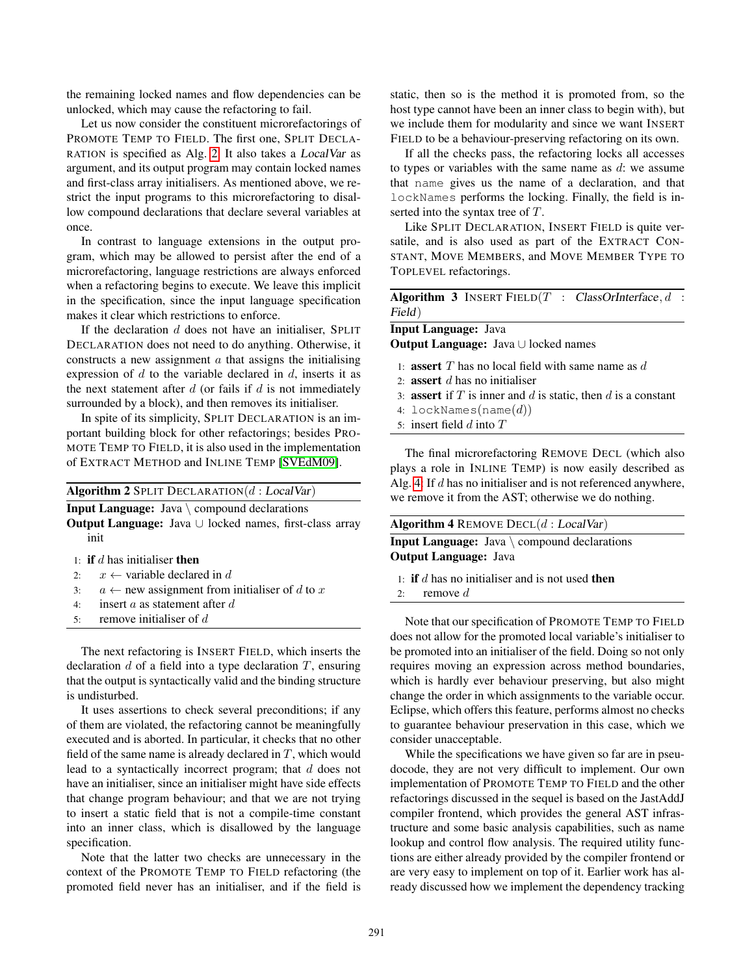the remaining locked names and flow dependencies can be unlocked, which may cause the refactoring to fail.

Let us now consider the constituent microrefactorings of PROMOTE TEMP TO FIELD. The first one, SPLIT DECLA-RATION is specified as Alg. [2.](#page-5-0) It also takes a LocalVar as argument, and its output program may contain locked names and first-class array initialisers. As mentioned above, we restrict the input programs to this microrefactoring to disallow compound declarations that declare several variables at once.

In contrast to language extensions in the output program, which may be allowed to persist after the end of a microrefactoring, language restrictions are always enforced when a refactoring begins to execute. We leave this implicit in the specification, since the input language specification makes it clear which restrictions to enforce.

If the declaration  $d$  does not have an initialiser, SPLIT DECLARATION does not need to do anything. Otherwise, it constructs a new assignment  $a$  that assigns the initialising expression of  $d$  to the variable declared in  $d$ , inserts it as the next statement after  $d$  (or fails if  $d$  is not immediately surrounded by a block), and then removes its initialiser.

In spite of its simplicity, SPLIT DECLARATION is an important building block for other refactorings; besides PRO-MOTE TEMP TO FIELD, it is also used in the implementation of EXTRACT METHOD and INLINE TEMP [\[SVEdM09\]](#page-15-7).

| <b>Algorithm 2</b> SPLIT DECLARATION $(d:LocalVar)$                          |
|------------------------------------------------------------------------------|
| <b>Input Language:</b> $I$ <sub>3V3</sub> $\backslash$ compound declarations |

<span id="page-5-0"></span>

| $\sim$                                                              |  |  |  |
|---------------------------------------------------------------------|--|--|--|
| <b>Output Language:</b> Java $\cup$ locked names, first-class array |  |  |  |
| init                                                                |  |  |  |

|  |  |  | 1: if d has initialiser then |  |
|--|--|--|------------------------------|--|
|--|--|--|------------------------------|--|

- 2:  $x \leftarrow$  variable declared in d
- 3:  $a \leftarrow$  new assignment from initialiser of d to x
- 4: insert  $a$  as statement after  $d$
- 5: remove initialiser of  $d$

The next refactoring is INSERT FIELD, which inserts the declaration  $d$  of a field into a type declaration  $T$ , ensuring that the output is syntactically valid and the binding structure is undisturbed.

It uses assertions to check several preconditions; if any of them are violated, the refactoring cannot be meaningfully executed and is aborted. In particular, it checks that no other field of the same name is already declared in  $T$ , which would lead to a syntactically incorrect program; that d does not have an initialiser, since an initialiser might have side effects that change program behaviour; and that we are not trying to insert a static field that is not a compile-time constant into an inner class, which is disallowed by the language specification.

Note that the latter two checks are unnecessary in the context of the PROMOTE TEMP TO FIELD refactoring (the promoted field never has an initialiser, and if the field is

static, then so is the method it is promoted from, so the host type cannot have been an inner class to begin with), but we include them for modularity and since we want INSERT FIELD to be a behaviour-preserving refactoring on its own.

If all the checks pass, the refactoring locks all accesses to types or variables with the same name as  $d$ : we assume that name gives us the name of a declaration, and that lockNames performs the locking. Finally, the field is inserted into the syntax tree of T.

Like SPLIT DECLARATION, INSERT FIELD is quite versatile, and is also used as part of the EXTRACT CON-STANT, MOVE MEMBERS, and MOVE MEMBER TYPE TO TOPLEVEL refactorings.

Algorithm 3 INSERT FIELD $(T : ClassOrInterface, d :$ Field)

# Input Language: Java Output Language: Java ∪ locked names

- 1: **assert**  $T$  has no local field with same name as  $d$
- 2: **assert**  $d$  has no initialiser
- 3: **assert** if  $T$  is inner and  $d$  is static, then  $d$  is a constant
- 4:  $l$ ockNames(name $(d)$ )
- 5: insert field  $d$  into  $T$

The final microrefactoring REMOVE DECL (which also plays a role in INLINE TEMP) is now easily described as Alg. [4:](#page-5-1) If d has no initialiser and is not referenced anywhere, we remove it from the AST; otherwise we do nothing.

# Algorithm 4 REMOVE  $\text{DECL}(d:LocalVar)$

<span id="page-5-1"></span>**Input Language:** Java  $\backslash$  compound declarations Output Language: Java

1: if d has no initialiser and is not used then

2: remove  $d$ 

Note that our specification of PROMOTE TEMP TO FIELD does not allow for the promoted local variable's initialiser to be promoted into an initialiser of the field. Doing so not only requires moving an expression across method boundaries, which is hardly ever behaviour preserving, but also might change the order in which assignments to the variable occur. Eclipse, which offers this feature, performs almost no checks to guarantee behaviour preservation in this case, which we consider unacceptable.

While the specifications we have given so far are in pseudocode, they are not very difficult to implement. Our own implementation of PROMOTE TEMP TO FIELD and the other refactorings discussed in the sequel is based on the JastAddJ compiler frontend, which provides the general AST infrastructure and some basic analysis capabilities, such as name lookup and control flow analysis. The required utility functions are either already provided by the compiler frontend or are very easy to implement on top of it. Earlier work has already discussed how we implement the dependency tracking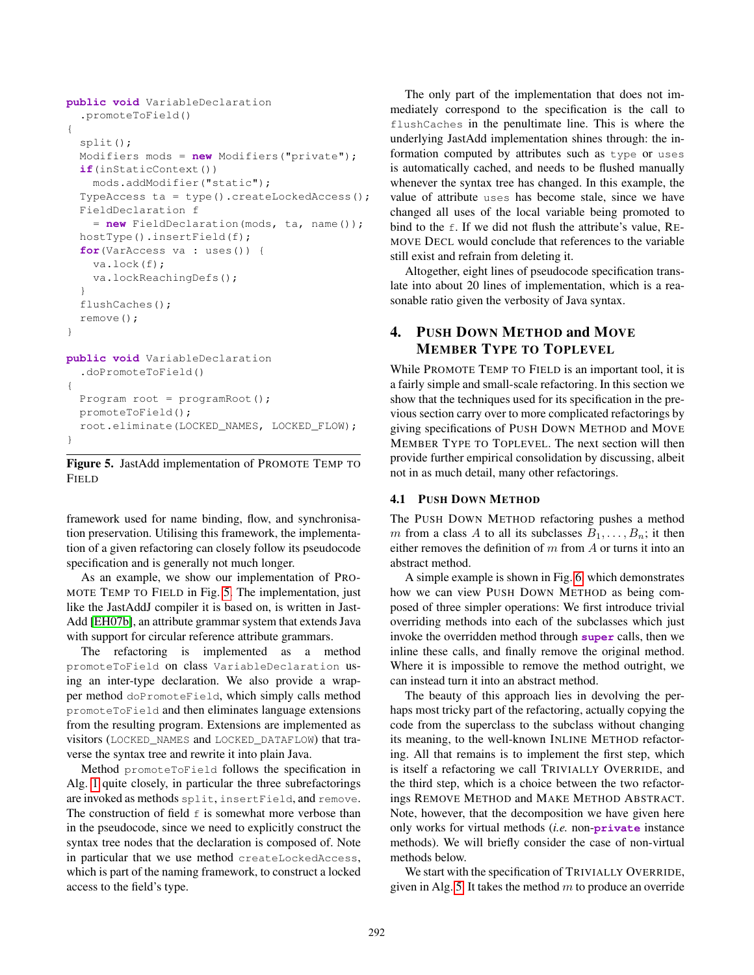```
public void VariableDeclaration
  .promoteToField()
{
  split();
  Modifiers mods = new Modifiers("private");
  if(inStaticContext())
    mods.addModifier("static");
  TypeAccess ta = type().createLockedAccess();
  FieldDeclaration f
    = new FieldDeclaration(mods, ta, name());
  hostType().insertField(f);
  for(VarAccess va : uses()) {
    va.lock(f);
    va.lockReachingDefs();
  }
  flushCaches();
  remove();
}
public void VariableDeclaration
  .doPromoteToField()
{
  Program root = programRoot();
  promoteToField();
  root.eliminate(LOCKED_NAMES, LOCKED_FLOW);
}
```
<span id="page-6-1"></span>Figure 5. JastAdd implementation of PROMOTE TEMP TO FIELD

framework used for name binding, flow, and synchronisation preservation. Utilising this framework, the implementation of a given refactoring can closely follow its pseudocode specification and is generally not much longer.

As an example, we show our implementation of PRO-MOTE TEMP TO FIELD in Fig. [5.](#page-6-1) The implementation, just like the JastAddJ compiler it is based on, is written in Jast-Add [\[EH07b\]](#page-15-10), an attribute grammar system that extends Java with support for circular reference attribute grammars.

The refactoring is implemented as a method promoteToField on class VariableDeclaration using an inter-type declaration. We also provide a wrapper method doPromoteField, which simply calls method promoteToField and then eliminates language extensions from the resulting program. Extensions are implemented as visitors (LOCKED\_NAMES and LOCKED\_DATAFLOW) that traverse the syntax tree and rewrite it into plain Java.

Method promoteToField follows the specification in Alg. [1](#page-4-1) quite closely, in particular the three subrefactorings are invoked as methods split, insertField, and remove. The construction of field  $f$  is somewhat more verbose than in the pseudocode, since we need to explicitly construct the syntax tree nodes that the declaration is composed of. Note in particular that we use method createLockedAccess, which is part of the naming framework, to construct a locked access to the field's type.

The only part of the implementation that does not immediately correspond to the specification is the call to flushCaches in the penultimate line. This is where the underlying JastAdd implementation shines through: the information computed by attributes such as type or uses is automatically cached, and needs to be flushed manually whenever the syntax tree has changed. In this example, the value of attribute uses has become stale, since we have changed all uses of the local variable being promoted to bind to the f. If we did not flush the attribute's value, RE-MOVE DECL would conclude that references to the variable still exist and refrain from deleting it.

Altogether, eight lines of pseudocode specification translate into about 20 lines of implementation, which is a reasonable ratio given the verbosity of Java syntax.

# <span id="page-6-0"></span>4. PUSH DOWN METHOD and MOVE MEMBER TYPE TO TOPLEVEL

While PROMOTE TEMP TO FIELD is an important tool, it is a fairly simple and small-scale refactoring. In this section we show that the techniques used for its specification in the previous section carry over to more complicated refactorings by giving specifications of PUSH DOWN METHOD and MOVE MEMBER TYPE TO TOPLEVEL. The next section will then provide further empirical consolidation by discussing, albeit not in as much detail, many other refactorings.

#### 4.1 PUSH DOWN METHOD

The PUSH DOWN METHOD refactoring pushes a method m from a class A to all its subclasses  $B_1, \ldots, B_n$ ; it then either removes the definition of  $m$  from  $A$  or turns it into an abstract method.

A simple example is shown in Fig. [6,](#page-7-0) which demonstrates how we can view PUSH DOWN METHOD as being composed of three simpler operations: We first introduce trivial overriding methods into each of the subclasses which just invoke the overridden method through **super** calls, then we inline these calls, and finally remove the original method. Where it is impossible to remove the method outright, we can instead turn it into an abstract method.

The beauty of this approach lies in devolving the perhaps most tricky part of the refactoring, actually copying the code from the superclass to the subclass without changing its meaning, to the well-known INLINE METHOD refactoring. All that remains is to implement the first step, which is itself a refactoring we call TRIVIALLY OVERRIDE, and the third step, which is a choice between the two refactorings REMOVE METHOD and MAKE METHOD ABSTRACT. Note, however, that the decomposition we have given here only works for virtual methods (*i.e.* non-**private** instance methods). We will briefly consider the case of non-virtual methods below.

We start with the specification of TRIVIALLY OVERRIDE, given in Alg. [5.](#page-7-1) It takes the method  $m$  to produce an override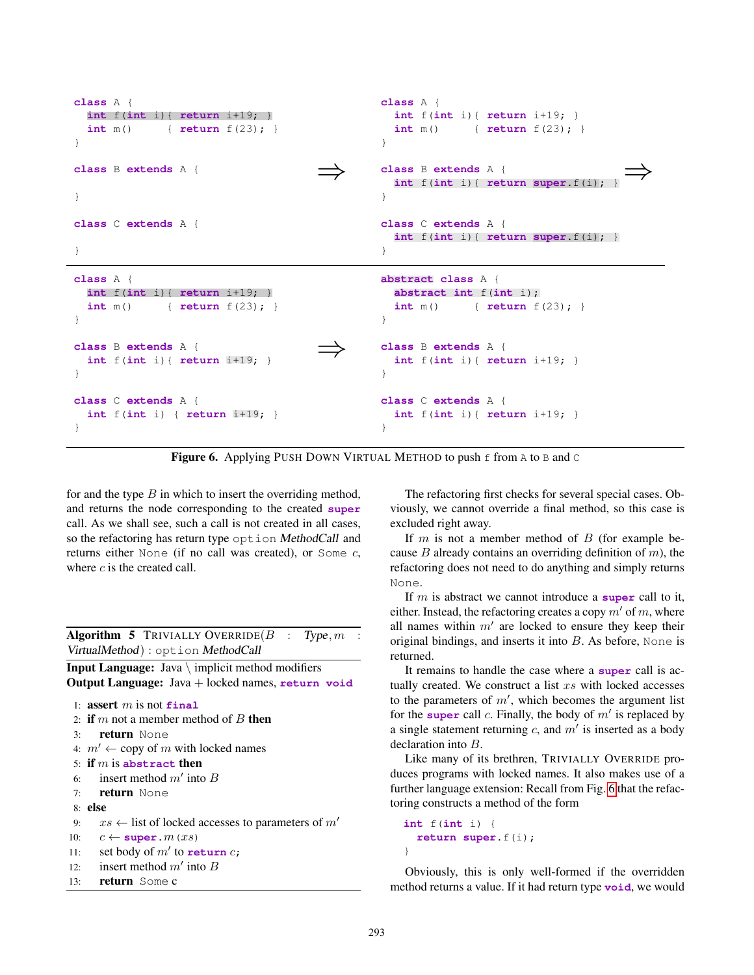```
class A {
 int f(int i){ return i+19; }
 int m() { return f(23); }
}
class B extends A {
}
class C extends A {
}
                                     ⇒
                                               class A {
                                                 int f(int i){ return i+19; }
                                                 int m() { return f(23); }
                                               }
                                               class B extends A {
                                                 int f(int i){ return super.f(i); }
                                               }
                                               class C extends A {
                                                 int f(int i){ return super.f(i); }
                                               }
                                                                                    ⇒
class A {
  int f(int i){ return i+19; }
  int m() { return f(23); }
}
class B extends A {
  int f(int i){ return i+19; }
}
class C extends A {
 int f(int i) { return i+19; }
}
                                     ⇒
                                               abstract class A {
                                                 abstract int f(int i);
                                                 int m() { return f(23); }
                                               }
                                               class B extends A {
                                                 int f(int i){ return i+19; }
                                               }
                                               class C extends A {
                                                 int f(int i){ return i+19; }
                                               }
```
Figure 6. Applying PUSH DOWN VIRTUAL METHOD to push  $\epsilon$  from A to B and C

for and the type  $B$  in which to insert the overriding method, and returns the node corresponding to the created **super** call. As we shall see, such a call is not created in all cases, so the refactoring has return type option MethodCall and returns either None (if no call was created), or Some  $c$ , where  $c$  is the created call.

Algorithm 5 TRIVIALLY OVERRIDE( $B$ : Type,  $m$ ) VirtualMethod) : option MethodCall

<span id="page-7-1"></span>Input Language: Java \ implicit method modifiers Output Language: Java + locked names, **return void**

```
1: assert m is not final
 2: if m not a member method of B then
 3: return None
 4: m' \leftarrow copy of m with locked names
 5: if m is abstract then
 6: insert method m' into B
 7: return None
 8: else
 9: xs \leftarrow list of locked accesses to parameters of m'
10: c \leftarrow \text{super}.m(xs)11: set body of m' to return c;
12: insert method m' into B13: return Some c
```
<span id="page-7-0"></span>The refactoring first checks for several special cases. Obviously, we cannot override a final method, so this case is excluded right away.

If  $m$  is not a member method of  $B$  (for example because B already contains an overriding definition of  $m$ ), the refactoring does not need to do anything and simply returns None.

If m is abstract we cannot introduce a **super** call to it, either. Instead, the refactoring creates a copy  $m'$  of m, where all names within  $m'$  are locked to ensure they keep their original bindings, and inserts it into  $B$ . As before, None is returned.

It remains to handle the case where a **super** call is actually created. We construct a list  $xs$  with locked accesses to the parameters of  $m'$ , which becomes the argument list for the **super** call  $c$ . Finally, the body of  $m'$  is replaced by a single statement returning c, and  $m'$  is inserted as a body declaration into B.

Like many of its brethren, TRIVIALLY OVERRIDE produces programs with locked names. It also makes use of a further language extension: Recall from Fig. [6](#page-7-0) that the refactoring constructs a method of the form

```
int f(int i) {
  return super.f(i);
}
```
Obviously, this is only well-formed if the overridden method returns a value. If it had return type **void**, we would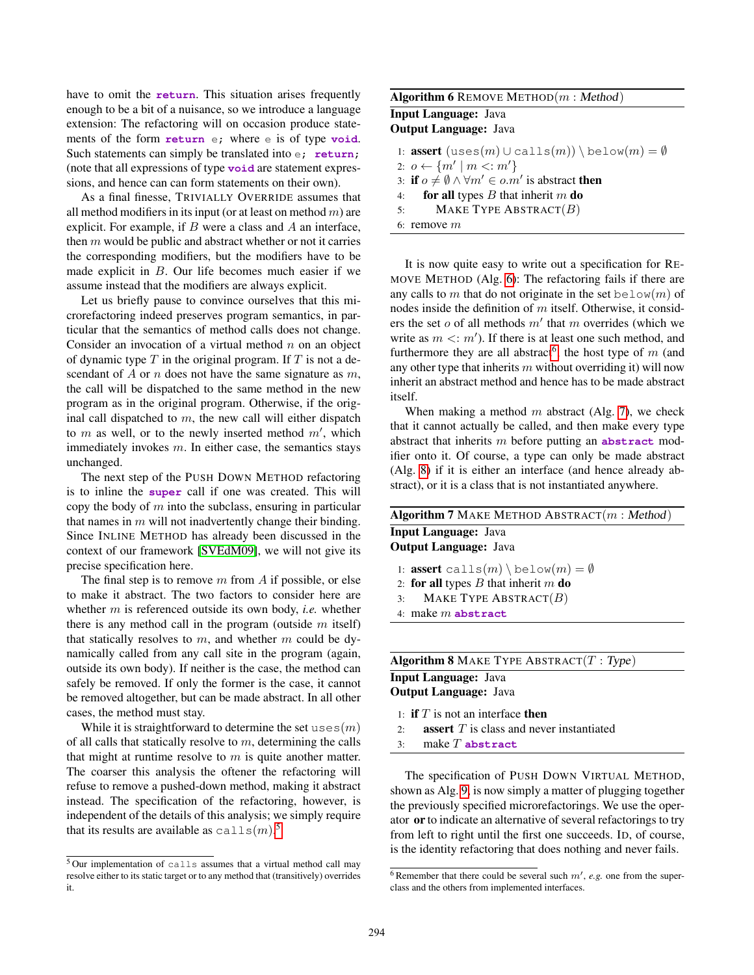have to omit the **return**. This situation arises frequently enough to be a bit of a nuisance, so we introduce a language extension: The refactoring will on occasion produce statements of the form **return** e; where e is of type **void**. Such statements can simply be translated into e; **return**; (note that all expressions of type **void** are statement expressions, and hence can can form statements on their own).

As a final finesse, TRIVIALLY OVERRIDE assumes that all method modifiers in its input (or at least on method  $m$ ) are explicit. For example, if  $B$  were a class and  $A$  an interface, then  $m$  would be public and abstract whether or not it carries the corresponding modifiers, but the modifiers have to be made explicit in B. Our life becomes much easier if we assume instead that the modifiers are always explicit.

Let us briefly pause to convince ourselves that this microrefactoring indeed preserves program semantics, in particular that the semantics of method calls does not change. Consider an invocation of a virtual method  $n$  on an object of dynamic type  $T$  in the original program. If  $T$  is not a descendant of A or n does not have the same signature as  $m$ , the call will be dispatched to the same method in the new program as in the original program. Otherwise, if the original call dispatched to  $m$ , the new call will either dispatch to  $m$  as well, or to the newly inserted method  $m'$ , which immediately invokes  $m$ . In either case, the semantics stays unchanged.

The next step of the PUSH DOWN METHOD refactoring is to inline the **super** call if one was created. This will copy the body of  $m$  into the subclass, ensuring in particular that names in  $m$  will not inadvertently change their binding. Since INLINE METHOD has already been discussed in the context of our framework [\[SVEdM09\]](#page-15-7), we will not give its precise specification here.

The final step is to remove  $m$  from  $A$  if possible, or else to make it abstract. The two factors to consider here are whether m is referenced outside its own body, *i.e.* whether there is any method call in the program (outside  $m$  itself) that statically resolves to  $m$ , and whether  $m$  could be dynamically called from any call site in the program (again, outside its own body). If neither is the case, the method can safely be removed. If only the former is the case, it cannot be removed altogether, but can be made abstract. In all other cases, the method must stay.

While it is straightforward to determine the set uses  $(m)$ of all calls that statically resolve to  $m$ , determining the calls that might at runtime resolve to  $m$  is quite another matter. The coarser this analysis the oftener the refactoring will refuse to remove a pushed-down method, making it abstract instead. The specification of the refactoring, however, is independent of the details of this analysis; we simply require that its results are available as  $\text{calls}(m)$ .<sup>[5](#page-8-0)</sup>

<span id="page-8-1"></span>

| <b>Algorithm 6</b> REMOVE METHOD $(m : Method)$                                                                                                                                                                                                                                                   |  |
|---------------------------------------------------------------------------------------------------------------------------------------------------------------------------------------------------------------------------------------------------------------------------------------------------|--|
| <b>Input Language: Java</b>                                                                                                                                                                                                                                                                       |  |
| <b>Output Language: Java</b>                                                                                                                                                                                                                                                                      |  |
| 1: <b>assert</b> $(\text{uses}(m) \cup \text{cells}(m)) \setminus \text{below}(m) = \emptyset$<br>2: $o \leftarrow \{m' \mid m \leq m'\}$<br>3: if $o \neq \emptyset \land \forall m' \in o.m'$ is abstract then<br>for all types $B$ that inherit $m$ do<br>4:<br>MAKE TYPE ABSTRACT $(B)$<br>5: |  |
| 6: remove $m$                                                                                                                                                                                                                                                                                     |  |

It is now quite easy to write out a specification for RE-MOVE METHOD (Alg. [6\)](#page-8-1): The refactoring fails if there are any calls to m that do not originate in the set below(m) of nodes inside the definition of  $m$  itself. Otherwise, it considers the set  $o$  of all methods  $m'$  that  $m$  overrides (which we write as  $m \le m'$ ). If there is at least one such method, and furthermore they are all abstract<sup>[6](#page-8-2)</sup>, the host type of m (and any other type that inherits  $m$  without overriding it) will now inherit an abstract method and hence has to be made abstract itself.

When making a method  $m$  abstract (Alg. [7\)](#page-8-3), we check that it cannot actually be called, and then make every type abstract that inherits m before putting an **abstract** modifier onto it. Of course, a type can only be made abstract (Alg. [8\)](#page-8-4) if it is either an interface (and hence already abstract), or it is a class that is not instantiated anywhere.

<span id="page-8-3"></span>

| Algorithm 7 MAKE METHOD ABSTRACT $(m : Method)$                    |
|--------------------------------------------------------------------|
| <b>Input Language: Java</b>                                        |
| <b>Output Language: Java</b>                                       |
| 1: <b>assert</b> calls $(m) \setminus \text{below}(m) = \emptyset$ |

- 2: for all types  $B$  that inherit  $m$  do
- 3: MAKE TYPE ABSTRACT $(B)$
- 4: make m **abstract**

<span id="page-8-4"></span>

| <b>Algorithm 8</b> MAKE TYPE ABSTRACT $(T: Type)$ |  |
|---------------------------------------------------|--|
| <b>Input Language: Java</b>                       |  |
| <b>Output Language: Java</b>                      |  |

- 1: **if**  $T$  is not an interface **then**
- 2: **assert**  $T$  is class and never instantiated
- 3: make T **abstract**

The specification of PUSH DOWN VIRTUAL METHOD, shown as Alg. [9,](#page-9-0) is now simply a matter of plugging together the previously specified microrefactorings. We use the operator or to indicate an alternative of several refactorings to try from left to right until the first one succeeds. ID, of course, is the identity refactoring that does nothing and never fails.

<span id="page-8-0"></span><sup>5</sup> Our implementation of calls assumes that a virtual method call may resolve either to its static target or to any method that (transitively) overrides it.

<span id="page-8-2"></span> $6$  Remember that there could be several such  $m'$ , *e.g.* one from the superclass and the others from implemented interfaces.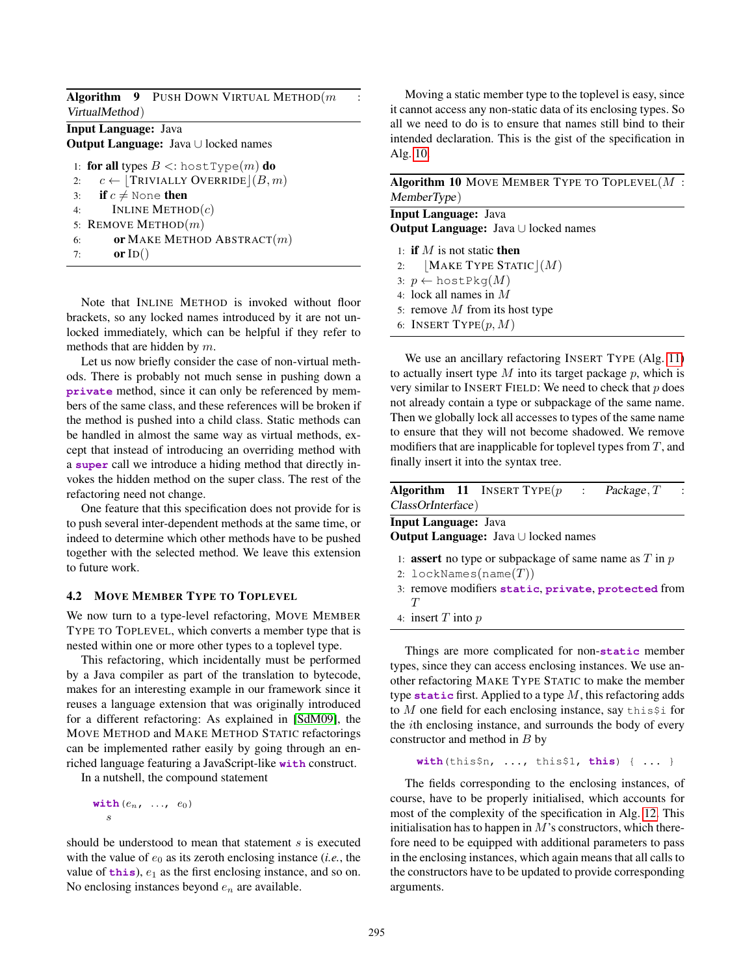Algorithm 9 PUSH DOWN VIRTUAL METHOD $(m)$ VirtualMethod)

<span id="page-9-0"></span>Input Language: Java Output Language: Java ∪ locked names

1: for all types  $B \lt$ : hostType $(m)$  do 2:  $c \leftarrow |\text{TRIVIALLY OVERRIDE}|(B, m)$ 3: if  $c \neq N$ one then 4: INLINE METHOD $(c)$ 5: REMOVE METHOD $(m)$ 6: **or MAKE METHOD ABSTRACT** $(m)$ 7: or  $\text{ID}()$ 

Note that INLINE METHOD is invoked without floor brackets, so any locked names introduced by it are not unlocked immediately, which can be helpful if they refer to methods that are hidden by m.

Let us now briefly consider the case of non-virtual methods. There is probably not much sense in pushing down a **private** method, since it can only be referenced by members of the same class, and these references will be broken if the method is pushed into a child class. Static methods can be handled in almost the same way as virtual methods, except that instead of introducing an overriding method with a **super** call we introduce a hiding method that directly invokes the hidden method on the super class. The rest of the refactoring need not change.

One feature that this specification does not provide for is to push several inter-dependent methods at the same time, or indeed to determine which other methods have to be pushed together with the selected method. We leave this extension to future work.

#### 4.2 MOVE MEMBER TYPE TO TOPLEVEL

We now turn to a type-level refactoring, MOVE MEMBER TYPE TO TOPLEVEL, which converts a member type that is nested within one or more other types to a toplevel type.

This refactoring, which incidentally must be performed by a Java compiler as part of the translation to bytecode, makes for an interesting example in our framework since it reuses a language extension that was originally introduced for a different refactoring: As explained in [\[SdM09\]](#page-15-9), the MOVE METHOD and MAKE METHOD STATIC refactorings can be implemented rather easily by going through an enriched language featuring a JavaScript-like **with** construct.

In a nutshell, the compound statement

 $\textbf{with}(e_n, \ldots, e_0)$ s

should be understood to mean that statement s is executed with the value of  $e_0$  as its zeroth enclosing instance (*i.e.*, the value of  $this$ ),  $e_1$  as the first enclosing instance, and so on. No enclosing instances beyond  $e_n$  are available.

Moving a static member type to the toplevel is easy, since it cannot access any non-static data of its enclosing types. So all we need to do is to ensure that names still bind to their intended declaration. This is the gist of the specification in Alg. [10.](#page-9-1)

Algorithm 10 MOVE MEMBER TYPE TO TOPLEVEL( $M$ : MemberType)

<span id="page-9-1"></span>

| <b>Input Language: Java</b>                      |  |
|--------------------------------------------------|--|
| <b>Output Language:</b> Java $\cup$ locked names |  |
| 1: if M is not static then                       |  |
| $\sim$ $\left  \mathbf{M} \right $               |  |

- 2:  $|\text{MAKE}$  TYPE STATIC  $|(M)$
- 3:  $p$  ← hostPkg $(M)$
- 4: lock all names in M
- 5: remove  $M$  from its host type

6: INSERT  $Type(p, M)$ 

We use an ancillary refactoring INSERT TYPE (Alg. [11\)](#page-9-2) to actually insert type  $M$  into its target package  $p$ , which is very similar to INSERT FIELD: We need to check that  $p$  does not already contain a type or subpackage of the same name. Then we globally lock all accesses to types of the same name to ensure that they will not become shadowed. We remove modifiers that are inapplicable for toplevel types from  $T$ , and finally insert it into the syntax tree.

|                             | <b>Algorithm 11</b> INSERT TYPE $(p$ : Package, T |  |  |
|-----------------------------|---------------------------------------------------|--|--|
| ClassOrInterface)           |                                                   |  |  |
| <b>Input Language: Java</b> |                                                   |  |  |

<span id="page-9-2"></span>Output Language: Java ∪ locked names

- 1: **assert** no type or subpackage of same name as  $T$  in  $p$
- 2: lockNames( $name(T))$
- 3: remove modifiers **static**, **private**, **protected** from  $T$
- 4: insert  $T$  into  $p$

Things are more complicated for non-**static** member types, since they can access enclosing instances. We use another refactoring MAKE TYPE STATIC to make the member type **static** first. Applied to a type M, this refactoring adds to  $M$  one field for each enclosing instance, say this \$i for the ith enclosing instance, and surrounds the body of every constructor and method in  $B$  by

**with**(this\$n, ..., this\$1, **this**) { ... }

The fields corresponding to the enclosing instances, of course, have to be properly initialised, which accounts for most of the complexity of the specification in Alg. [12.](#page-10-1) This initialisation has to happen in  $M$ 's constructors, which therefore need to be equipped with additional parameters to pass in the enclosing instances, which again means that all calls to the constructors have to be updated to provide corresponding arguments.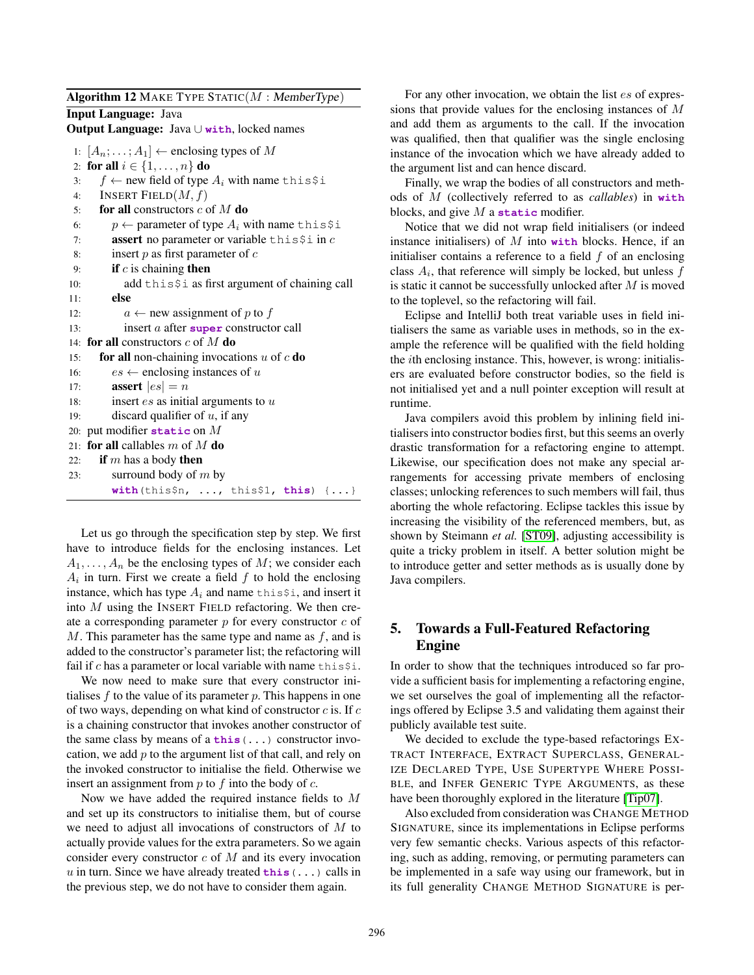Algorithm 12 MAKE TYPE STATIC( $M :$  MemberType)

<span id="page-10-1"></span>Input Language: Java

Output Language: Java ∪ **with**, locked names

|     | 1: $[A_n; \ldots; A_1] \leftarrow$ enclosing types of M      |
|-----|--------------------------------------------------------------|
|     | 2: for all $i \in \{1, , n\}$ do                             |
| 3:  | $f \leftarrow$ new field of type $A_i$ with name this \$i    |
| 4:  | INSERT FIELD $(M, f)$                                        |
| 5:  | <b>for all</b> constructors c of M <b>do</b>                 |
| 6:  | $p \leftarrow$ parameter of type $A_i$ with name this \$i    |
| 7:  | <b>assert</b> no parameter or variable this $\sin c$         |
| 8:  | insert $p$ as first parameter of $c$                         |
| 9:  | if $c$ is chaining then                                      |
| 10: | add this\$i as first argument of chaining call               |
| 11: | else                                                         |
| 12: | $a \leftarrow$ new assignment of p to f                      |
| 13: | insert a after super constructor call                        |
| 14: | <b>for all</b> constructors c of M <b>do</b>                 |
| 15: | <b>for all</b> non-chaining invocations $u$ of $c$ <b>do</b> |
| 16: | $es \leftarrow$ enclosing instances of u                     |
| 17: | <b>assert</b> $ es  = n$                                     |
| 18: | insert $es$ as initial arguments to $u$                      |
| 19: | discard qualifier of $u$ , if any                            |
| 20: | put modifier static on M                                     |
|     | 21: for all callables $m$ of $M$ do                          |
| 22: | if $m$ has a body then                                       |
| 23: | surround body of $m$ by                                      |
|     | $with (this \$ n, , this \1, this $\{ \}$                    |

Let us go through the specification step by step. We first have to introduce fields for the enclosing instances. Let  $A_1, \ldots, A_n$  be the enclosing types of M; we consider each  $A_i$  in turn. First we create a field f to hold the enclosing instance, which has type  $A_i$  and name this \$i, and insert it into  $M$  using the INSERT FIELD refactoring. We then create a corresponding parameter  $p$  for every constructor  $c$  of  $M$ . This parameter has the same type and name as  $f$ , and is added to the constructor's parameter list; the refactoring will fail if c has a parameter or local variable with name this  $$i$ .

We now need to make sure that every constructor initialises  $f$  to the value of its parameter  $p$ . This happens in one of two ways, depending on what kind of constructor  $c$  is. If  $c$ is a chaining constructor that invokes another constructor of the same class by means of a **this**(...) constructor invocation, we add  $p$  to the argument list of that call, and rely on the invoked constructor to initialise the field. Otherwise we insert an assignment from  $p$  to  $f$  into the body of  $c$ .

Now we have added the required instance fields to M and set up its constructors to initialise them, but of course we need to adjust all invocations of constructors of M to actually provide values for the extra parameters. So we again consider every constructor  $c$  of  $M$  and its every invocation u in turn. Since we have already treated **this**(...) calls in the previous step, we do not have to consider them again.

For any other invocation, we obtain the list es of expressions that provide values for the enclosing instances of M and add them as arguments to the call. If the invocation was qualified, then that qualifier was the single enclosing instance of the invocation which we have already added to the argument list and can hence discard.

Finally, we wrap the bodies of all constructors and methods of M (collectively referred to as *callables*) in **with** blocks, and give M a **static** modifier.

Notice that we did not wrap field initialisers (or indeed instance initialisers) of M into **with** blocks. Hence, if an initialiser contains a reference to a field  $f$  of an enclosing class  $A_i$ , that reference will simply be locked, but unless  $f$ is static it cannot be successfully unlocked after  $M$  is moved to the toplevel, so the refactoring will fail.

Eclipse and IntelliJ both treat variable uses in field initialisers the same as variable uses in methods, so in the example the reference will be qualified with the field holding the ith enclosing instance. This, however, is wrong: initialisers are evaluated before constructor bodies, so the field is not initialised yet and a null pointer exception will result at runtime.

Java compilers avoid this problem by inlining field initialisers into constructor bodies first, but this seems an overly drastic transformation for a refactoring engine to attempt. Likewise, our specification does not make any special arrangements for accessing private members of enclosing classes; unlocking references to such members will fail, thus aborting the whole refactoring. Eclipse tackles this issue by increasing the visibility of the referenced members, but, as shown by Steimann *et al.* [\[ST09\]](#page-15-11), adjusting accessibility is quite a tricky problem in itself. A better solution might be to introduce getter and setter methods as is usually done by Java compilers.

# <span id="page-10-0"></span>5. Towards a Full-Featured Refactoring Engine

In order to show that the techniques introduced so far provide a sufficient basis for implementing a refactoring engine, we set ourselves the goal of implementing all the refactorings offered by Eclipse 3.5 and validating them against their publicly available test suite.

We decided to exclude the type-based refactorings EX-TRACT INTERFACE, EXTRACT SUPERCLASS, GENERAL-IZE DECLARED TYPE, USE SUPERTYPE WHERE POSSI-BLE, and INFER GENERIC TYPE ARGUMENTS, as these have been thoroughly explored in the literature [\[Tip07\]](#page-15-12).

Also excluded from consideration was CHANGE METHOD SIGNATURE, since its implementations in Eclipse performs very few semantic checks. Various aspects of this refactoring, such as adding, removing, or permuting parameters can be implemented in a safe way using our framework, but in its full generality CHANGE METHOD SIGNATURE is per-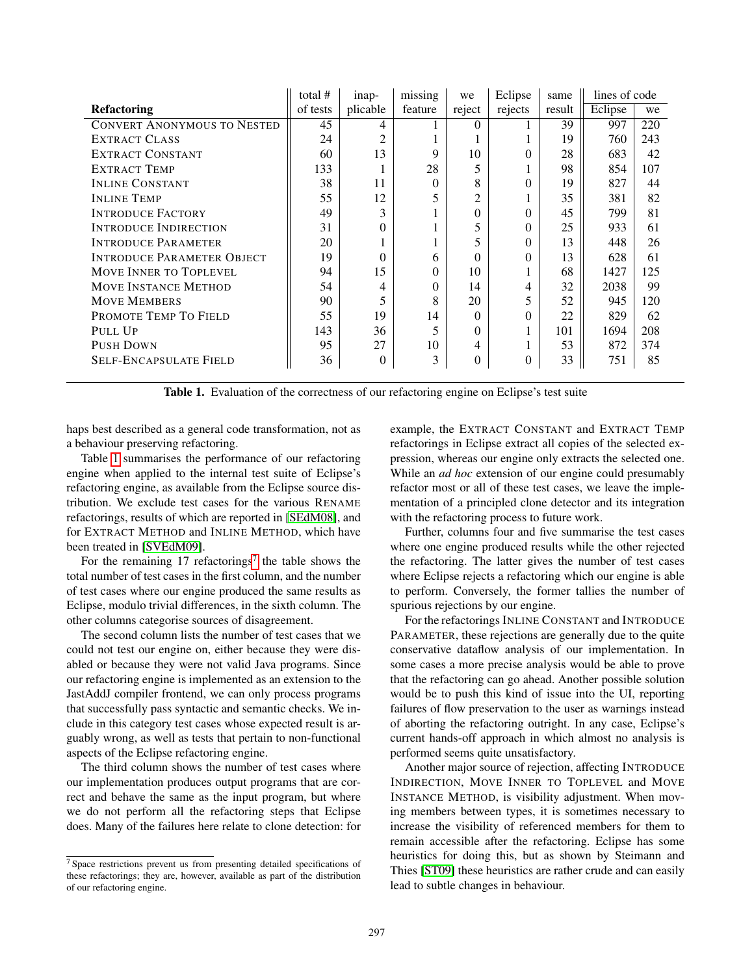|                                    | total #  | inap-          | missing | we             | Eclipse  | same   | lines of code |     |
|------------------------------------|----------|----------------|---------|----------------|----------|--------|---------------|-----|
| <b>Refactoring</b>                 | of tests | plicable       | feature | reject         | rejects  | result | Eclipse       | we  |
| <b>CONVERT ANONYMOUS TO NESTED</b> | 45       | 4              |         | $\Omega$       |          | 39     | 997           | 220 |
| <b>EXTRACT CLASS</b>               | 24       | $\overline{2}$ |         |                |          | 19     | 760           | 243 |
| <b>EXTRACT CONSTANT</b>            | 60       | 13             | 9       | 10             | $\Omega$ | 28     | 683           | 42  |
| <b>EXTRACT TEMP</b>                | 133      |                | 28      | 5              |          | 98     | 854           | 107 |
| <b>INLINE CONSTANT</b>             | 38       | 11             | 0       | 8              | $\Omega$ | 19     | 827           | 44  |
| <b>INLINE TEMP</b>                 | 55       | 12             | 5       | $\overline{2}$ |          | 35     | 381           | 82  |
| <b>INTRODUCE FACTORY</b>           | 49       | 3              |         | $\Omega$       | $\Omega$ | 45     | 799           | 81  |
| <b>INTRODUCE INDIRECTION</b>       | 31       | $\Omega$       |         | 5              | $\Omega$ | 25     | 933           | 61  |
| <b>INTRODUCE PARAMETER</b>         | 20       | T              |         | 5              | $\Omega$ | 13     | 448           | 26  |
| <b>INTRODUCE PARAMETER OBJECT</b>  | 19       | $\Omega$       | 6       | $\Omega$       | $\Omega$ | 13     | 628           | 61  |
| <b>MOVE INNER TO TOPLEVEL</b>      | 94       | 15             | 0       | 10             |          | 68     | 1427          | 125 |
| <b>MOVE INSTANCE METHOD</b>        | 54       | 4              | 0       | 14             | 4        | 32     | 2038          | 99  |
| <b>MOVE MEMBERS</b>                | 90       | 5              | 8       | 20             | 5        | 52     | 945           | 120 |
| PROMOTE TEMP TO FIELD              | 55       | 19             | 14      | $\Omega$       | $\Omega$ | 22     | 829           | 62  |
| PULL UP                            | 143      | 36             |         | $\Omega$       |          | 101    | 1694          | 208 |
| <b>PUSH DOWN</b>                   | 95       | 27             | 10      | 4              |          | 53     | 872           | 374 |
| <b>SELF-ENCAPSULATE FIELD</b>      | 36       | $\theta$       | 3       | $\Omega$       | 0        | 33     | 751           | 85  |
|                                    |          |                |         |                |          |        |               |     |

Table 1. Evaluation of the correctness of our refactoring engine on Eclipse's test suite

<span id="page-11-0"></span>haps best described as a general code transformation, not as a behaviour preserving refactoring.

Table [1](#page-11-0) summarises the performance of our refactoring engine when applied to the internal test suite of Eclipse's refactoring engine, as available from the Eclipse source distribution. We exclude test cases for the various RENAME refactorings, results of which are reported in [\[SEdM08\]](#page-15-6), and for EXTRACT METHOD and INLINE METHOD, which have been treated in [\[SVEdM09\]](#page-15-7).

For the remaining 1[7](#page-11-1) refactorings<sup>7</sup> the table shows the total number of test cases in the first column, and the number of test cases where our engine produced the same results as Eclipse, modulo trivial differences, in the sixth column. The other columns categorise sources of disagreement.

The second column lists the number of test cases that we could not test our engine on, either because they were disabled or because they were not valid Java programs. Since our refactoring engine is implemented as an extension to the JastAddJ compiler frontend, we can only process programs that successfully pass syntactic and semantic checks. We include in this category test cases whose expected result is arguably wrong, as well as tests that pertain to non-functional aspects of the Eclipse refactoring engine.

The third column shows the number of test cases where our implementation produces output programs that are correct and behave the same as the input program, but where we do not perform all the refactoring steps that Eclipse does. Many of the failures here relate to clone detection: for

example, the EXTRACT CONSTANT and EXTRACT TEMP refactorings in Eclipse extract all copies of the selected expression, whereas our engine only extracts the selected one. While an *ad hoc* extension of our engine could presumably refactor most or all of these test cases, we leave the implementation of a principled clone detector and its integration with the refactoring process to future work.

Further, columns four and five summarise the test cases where one engine produced results while the other rejected the refactoring. The latter gives the number of test cases where Eclipse rejects a refactoring which our engine is able to perform. Conversely, the former tallies the number of spurious rejections by our engine.

For the refactorings INLINE CONSTANT and INTRODUCE PARAMETER, these rejections are generally due to the quite conservative dataflow analysis of our implementation. In some cases a more precise analysis would be able to prove that the refactoring can go ahead. Another possible solution would be to push this kind of issue into the UI, reporting failures of flow preservation to the user as warnings instead of aborting the refactoring outright. In any case, Eclipse's current hands-off approach in which almost no analysis is performed seems quite unsatisfactory.

Another major source of rejection, affecting INTRODUCE INDIRECTION, MOVE INNER TO TOPLEVEL and MOVE INSTANCE METHOD, is visibility adjustment. When moving members between types, it is sometimes necessary to increase the visibility of referenced members for them to remain accessible after the refactoring. Eclipse has some heuristics for doing this, but as shown by Steimann and Thies [\[ST09\]](#page-15-11) these heuristics are rather crude and can easily lead to subtle changes in behaviour.

<span id="page-11-1"></span><sup>7</sup> Space restrictions prevent us from presenting detailed specifications of these refactorings; they are, however, available as part of the distribution of our refactoring engine.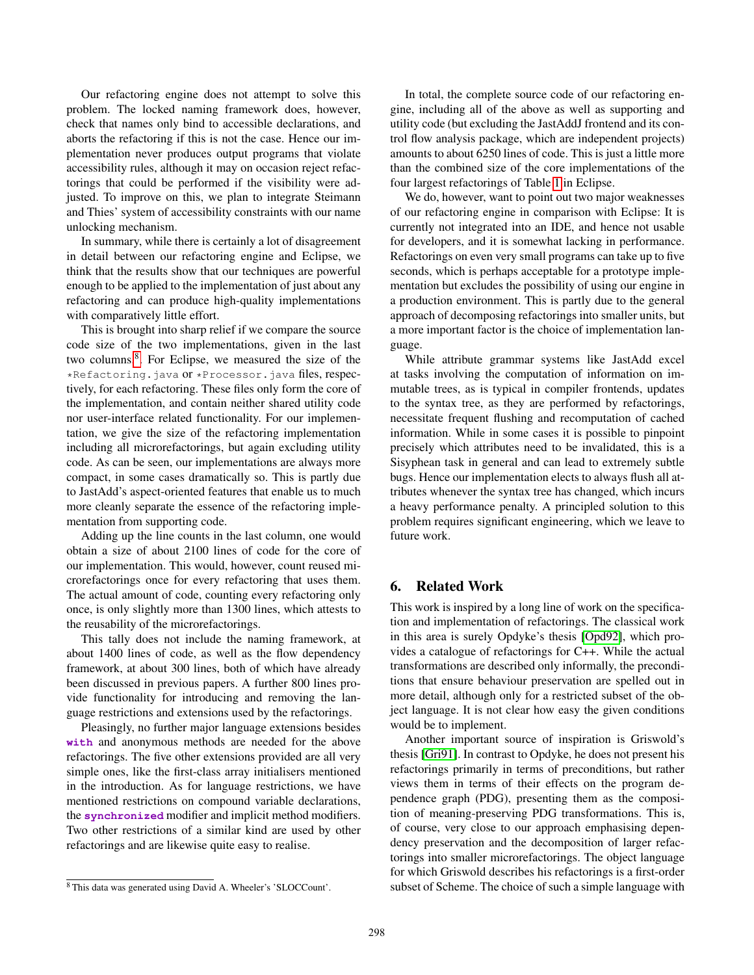Our refactoring engine does not attempt to solve this problem. The locked naming framework does, however, check that names only bind to accessible declarations, and aborts the refactoring if this is not the case. Hence our implementation never produces output programs that violate accessibility rules, although it may on occasion reject refactorings that could be performed if the visibility were adjusted. To improve on this, we plan to integrate Steimann and Thies' system of accessibility constraints with our name unlocking mechanism.

In summary, while there is certainly a lot of disagreement in detail between our refactoring engine and Eclipse, we think that the results show that our techniques are powerful enough to be applied to the implementation of just about any refactoring and can produce high-quality implementations with comparatively little effort.

This is brought into sharp relief if we compare the source code size of the two implementations, given in the last two columns.<sup>[8](#page-12-1)</sup>. For Eclipse, we measured the size of the \*Refactoring.java or \*Processor.java files, respectively, for each refactoring. These files only form the core of the implementation, and contain neither shared utility code nor user-interface related functionality. For our implementation, we give the size of the refactoring implementation including all microrefactorings, but again excluding utility code. As can be seen, our implementations are always more compact, in some cases dramatically so. This is partly due to JastAdd's aspect-oriented features that enable us to much more cleanly separate the essence of the refactoring implementation from supporting code.

Adding up the line counts in the last column, one would obtain a size of about 2100 lines of code for the core of our implementation. This would, however, count reused microrefactorings once for every refactoring that uses them. The actual amount of code, counting every refactoring only once, is only slightly more than 1300 lines, which attests to the reusability of the microrefactorings.

This tally does not include the naming framework, at about 1400 lines of code, as well as the flow dependency framework, at about 300 lines, both of which have already been discussed in previous papers. A further 800 lines provide functionality for introducing and removing the language restrictions and extensions used by the refactorings.

Pleasingly, no further major language extensions besides **with** and anonymous methods are needed for the above refactorings. The five other extensions provided are all very simple ones, like the first-class array initialisers mentioned in the introduction. As for language restrictions, we have mentioned restrictions on compound variable declarations, the **synchronized** modifier and implicit method modifiers. Two other restrictions of a similar kind are used by other refactorings and are likewise quite easy to realise.

In total, the complete source code of our refactoring engine, including all of the above as well as supporting and utility code (but excluding the JastAddJ frontend and its control flow analysis package, which are independent projects) amounts to about 6250 lines of code. This is just a little more than the combined size of the core implementations of the four largest refactorings of Table [1](#page-11-0) in Eclipse.

We do, however, want to point out two major weaknesses of our refactoring engine in comparison with Eclipse: It is currently not integrated into an IDE, and hence not usable for developers, and it is somewhat lacking in performance. Refactorings on even very small programs can take up to five seconds, which is perhaps acceptable for a prototype implementation but excludes the possibility of using our engine in a production environment. This is partly due to the general approach of decomposing refactorings into smaller units, but a more important factor is the choice of implementation language.

While attribute grammar systems like JastAdd excel at tasks involving the computation of information on immutable trees, as is typical in compiler frontends, updates to the syntax tree, as they are performed by refactorings, necessitate frequent flushing and recomputation of cached information. While in some cases it is possible to pinpoint precisely which attributes need to be invalidated, this is a Sisyphean task in general and can lead to extremely subtle bugs. Hence our implementation elects to always flush all attributes whenever the syntax tree has changed, which incurs a heavy performance penalty. A principled solution to this problem requires significant engineering, which we leave to future work.

### <span id="page-12-0"></span>6. Related Work

This work is inspired by a long line of work on the specification and implementation of refactorings. The classical work in this area is surely Opdyke's thesis [\[Opd92\]](#page-15-2), which provides a catalogue of refactorings for C++. While the actual transformations are described only informally, the preconditions that ensure behaviour preservation are spelled out in more detail, although only for a restricted subset of the object language. It is not clear how easy the given conditions would be to implement.

Another important source of inspiration is Griswold's thesis [\[Gri91\]](#page-15-13). In contrast to Opdyke, he does not present his refactorings primarily in terms of preconditions, but rather views them in terms of their effects on the program dependence graph (PDG), presenting them as the composition of meaning-preserving PDG transformations. This is, of course, very close to our approach emphasising dependency preservation and the decomposition of larger refactorings into smaller microrefactorings. The object language for which Griswold describes his refactorings is a first-order subset of Scheme. The choice of such a simple language with

<span id="page-12-1"></span><sup>8</sup> This data was generated using David A. Wheeler's 'SLOCCount'.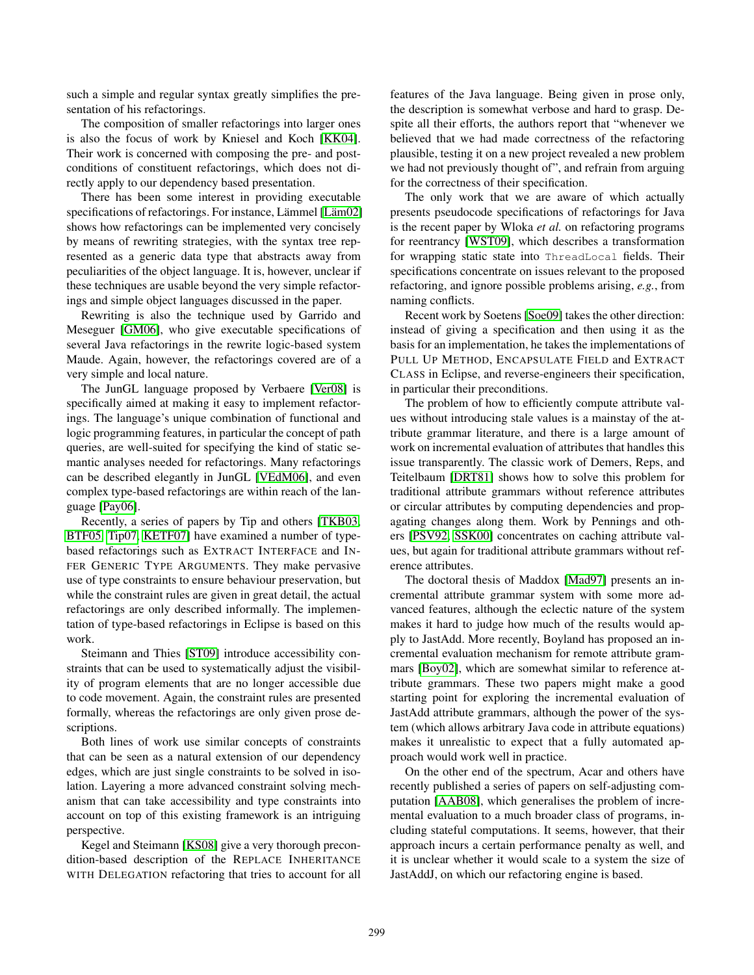such a simple and regular syntax greatly simplifies the presentation of his refactorings.

The composition of smaller refactorings into larger ones is also the focus of work by Kniesel and Koch [\[KK04\]](#page-15-14). Their work is concerned with composing the pre- and postconditions of constituent refactorings, which does not directly apply to our dependency based presentation.

There has been some interest in providing executable specifications of refactorings. For instance, Lämmel [\[Läm02\]](#page-15-15) shows how refactorings can be implemented very concisely by means of rewriting strategies, with the syntax tree represented as a generic data type that abstracts away from peculiarities of the object language. It is, however, unclear if these techniques are usable beyond the very simple refactorings and simple object languages discussed in the paper.

Rewriting is also the technique used by Garrido and Meseguer [\[GM06\]](#page-15-16), who give executable specifications of several Java refactorings in the rewrite logic-based system Maude. Again, however, the refactorings covered are of a very simple and local nature.

The JunGL language proposed by Verbaere [\[Ver08\]](#page-15-17) is specifically aimed at making it easy to implement refactorings. The language's unique combination of functional and logic programming features, in particular the concept of path queries, are well-suited for specifying the kind of static semantic analyses needed for refactorings. Many refactorings can be described elegantly in JunGL [\[VEdM06\]](#page-15-18), and even complex type-based refactorings are within reach of the language [\[Pay06\]](#page-15-19).

Recently, a series of papers by Tip and others [\[TKB03,](#page-15-20) [BTF05,](#page-14-4) [Tip07,](#page-15-12) [KETF07\]](#page-15-21) have examined a number of typebased refactorings such as EXTRACT INTERFACE and IN-FER GENERIC TYPE ARGUMENTS. They make pervasive use of type constraints to ensure behaviour preservation, but while the constraint rules are given in great detail, the actual refactorings are only described informally. The implementation of type-based refactorings in Eclipse is based on this work.

Steimann and Thies [\[ST09\]](#page-15-11) introduce accessibility constraints that can be used to systematically adjust the visibility of program elements that are no longer accessible due to code movement. Again, the constraint rules are presented formally, whereas the refactorings are only given prose descriptions.

Both lines of work use similar concepts of constraints that can be seen as a natural extension of our dependency edges, which are just single constraints to be solved in isolation. Layering a more advanced constraint solving mechanism that can take accessibility and type constraints into account on top of this existing framework is an intriguing perspective.

Kegel and Steimann [\[KS08\]](#page-15-22) give a very thorough precondition-based description of the REPLACE INHERITANCE WITH DELEGATION refactoring that tries to account for all features of the Java language. Being given in prose only, the description is somewhat verbose and hard to grasp. Despite all their efforts, the authors report that "whenever we believed that we had made correctness of the refactoring plausible, testing it on a new project revealed a new problem we had not previously thought of", and refrain from arguing for the correctness of their specification.

The only work that we are aware of which actually presents pseudocode specifications of refactorings for Java is the recent paper by Wloka *et al.* on refactoring programs for reentrancy [\[WST09\]](#page-15-23), which describes a transformation for wrapping static state into ThreadLocal fields. Their specifications concentrate on issues relevant to the proposed refactoring, and ignore possible problems arising, *e.g.*, from naming conflicts.

Recent work by Soetens [\[Soe09\]](#page-15-24) takes the other direction: instead of giving a specification and then using it as the basis for an implementation, he takes the implementations of PULL UP METHOD, ENCAPSULATE FIELD and EXTRACT CLASS in Eclipse, and reverse-engineers their specification, in particular their preconditions.

The problem of how to efficiently compute attribute values without introducing stale values is a mainstay of the attribute grammar literature, and there is a large amount of work on incremental evaluation of attributes that handles this issue transparently. The classic work of Demers, Reps, and Teitelbaum [\[DRT81\]](#page-14-5) shows how to solve this problem for traditional attribute grammars without reference attributes or circular attributes by computing dependencies and propagating changes along them. Work by Pennings and others [\[PSV92,](#page-15-25) [SSK00\]](#page-15-26) concentrates on caching attribute values, but again for traditional attribute grammars without reference attributes.

The doctoral thesis of Maddox [\[Mad97\]](#page-15-27) presents an incremental attribute grammar system with some more advanced features, although the eclectic nature of the system makes it hard to judge how much of the results would apply to JastAdd. More recently, Boyland has proposed an incremental evaluation mechanism for remote attribute grammars [\[Boy02\]](#page-14-6), which are somewhat similar to reference attribute grammars. These two papers might make a good starting point for exploring the incremental evaluation of JastAdd attribute grammars, although the power of the system (which allows arbitrary Java code in attribute equations) makes it unrealistic to expect that a fully automated approach would work well in practice.

On the other end of the spectrum, Acar and others have recently published a series of papers on self-adjusting computation [\[AAB08\]](#page-14-7), which generalises the problem of incremental evaluation to a much broader class of programs, including stateful computations. It seems, however, that their approach incurs a certain performance penalty as well, and it is unclear whether it would scale to a system the size of JastAddJ, on which our refactoring engine is based.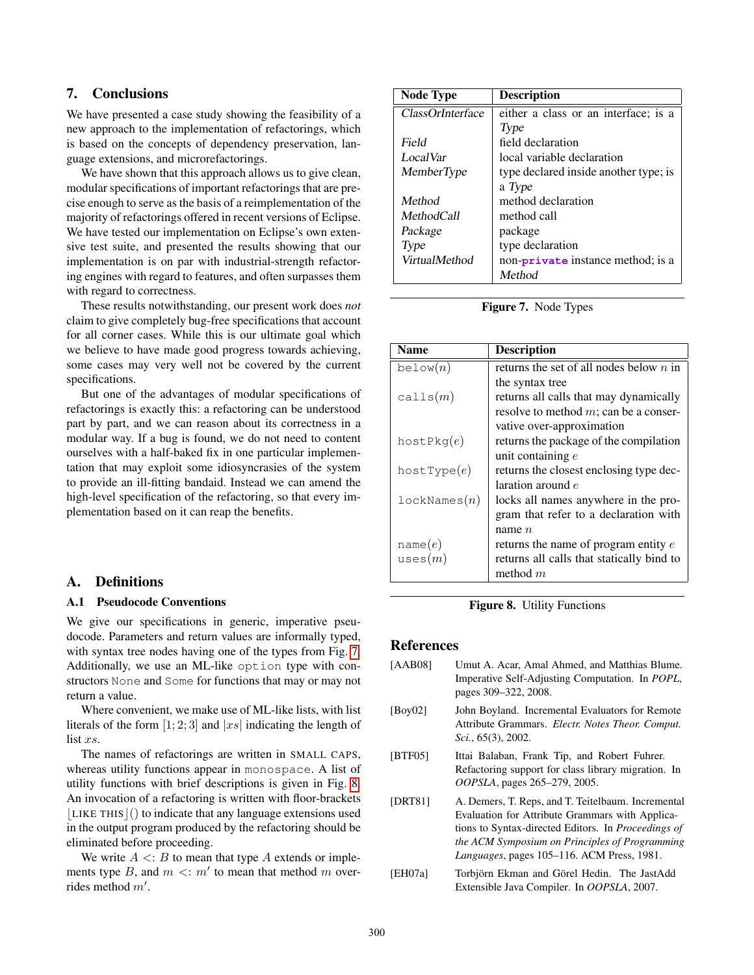# <span id="page-14-1"></span>7. Conclusions

We have presented a case study showing the feasibility of a new approach to the implementation of refactorings, which is based on the concepts of dependency preservation, language extensions, and microrefactorings.

We have shown that this approach allows us to give clean, modular specifications of important refactorings that are precise enough to serve as the basis of a reimplementation of the majority of refactorings offered in recent versions of Eclipse. We have tested our implementation on Eclipse's own extensive test suite, and presented the results showing that our implementation is on par with industrial-strength refactoring engines with regard to features, and often surpasses them with regard to correctness.

These results notwithstanding, our present work does *not* claim to give completely bug-free specifications that account for all corner cases. While this is our ultimate goal which we believe to have made good progress towards achieving, some cases may very well not be covered by the current specifications.

But one of the advantages of modular specifications of refactorings is exactly this: a refactoring can be understood part by part, and we can reason about its correctness in a modular way. If a bug is found, we do not need to content ourselves with a half-baked fix in one particular implementation that may exploit some idiosyncrasies of the system to provide an ill-fitting bandaid. Instead we can amend the high-level specification of the refactoring, so that every implementation based on it can reap the benefits.

## <span id="page-14-3"></span>A. Definitions

#### A.1 Pseudocode Conventions

We give our specifications in generic, imperative pseudocode. Parameters and return values are informally typed, with syntax tree nodes having one of the types from Fig. [7.](#page-14-2) Additionally, we use an ML-like option type with constructors None and Some for functions that may or may not return a value.

Where convenient, we make use of ML-like lists, with list literals of the form  $[1; 2; 3]$  and  $|x_s|$  indicating the length of list xs.

The names of refactorings are written in SMALL CAPS, whereas utility functions appear in monospace. A list of utility functions with brief descriptions is given in Fig. [8.](#page-14-8) An invocation of a refactoring is written with floor-brackets  $|L$ IKE THIS $|()$  to indicate that any language extensions used in the output program produced by the refactoring should be eliminated before proceeding.

We write  $A \leq B$  to mean that type A extends or implements type B, and  $m \le m'$  to mean that method m overrides method  $m'$ .

| <b>Node Type</b>        | <b>Description</b>                        |
|-------------------------|-------------------------------------------|
| <i>ClassOrInterface</i> | either a class or an interface; is a      |
|                         | Type                                      |
| Field                   | field declaration                         |
| LocalVar                | local variable declaration                |
| MemberType              | type declared inside another type; is     |
|                         | a Type                                    |
| Method                  | method declaration                        |
| MethodCall              | method call                               |
| Package                 | package                                   |
| Type                    | type declaration                          |
| VirtualMethod           | non- <b>private</b> instance method; is a |
|                         | Method                                    |

Figure 7. Node Types

<span id="page-14-2"></span>

| <b>Name</b>        | <b>Description</b>                        |
|--------------------|-------------------------------------------|
| $b$ elow $(n)$     | returns the set of all nodes below $n$ in |
|                    | the syntax tree                           |
| calls $(m)$        | returns all calls that may dynamically    |
|                    | resolve to method $m$ ; can be a conser-  |
|                    | vative over-approximation                 |
| hostPkg(e)         | returns the package of the compilation    |
|                    | unit containing $e$                       |
| hostType(e)        | returns the closest enclosing type dec-   |
|                    | laration around $e$                       |
| $l$ ockNames $(n)$ | locks all names anywhere in the pro-      |
|                    | gram that refer to a declaration with     |
|                    | name $n$                                  |
| name(e)            | returns the name of program entity e      |
| uses $(m)$         | returns all calls that statically bind to |
|                    | method $m$                                |

Figure 8. Utility Functions

### <span id="page-14-8"></span>References

<span id="page-14-7"></span><span id="page-14-6"></span><span id="page-14-5"></span><span id="page-14-4"></span><span id="page-14-0"></span>

| [AAB08] | Umut A. Acar, Amal Ahmed, and Matthias Blume.<br>Imperative Self-Adjusting Computation. In <i>POPL</i> ,<br>pages 309–322, 2008.                                                                                                                             |
|---------|--------------------------------------------------------------------------------------------------------------------------------------------------------------------------------------------------------------------------------------------------------------|
| [Boy02] | John Boyland. Incremental Evaluators for Remote<br>Attribute Grammars. Electr. Notes Theor. Comput.<br>Sci., $65(3)$ , 2002.                                                                                                                                 |
| [BTF05] | Ittai Balaban, Frank Tip, and Robert Fuhrer.<br>Refactoring support for class library migration. In<br><i>OOPSLA</i> , pages 265–279, 2005.                                                                                                                  |
| [DRT81] | A. Demers, T. Reps, and T. Teitelbaum. Incremental<br>Evaluation for Attribute Grammars with Applica-<br>tions to Syntax-directed Editors. In Proceedings of<br>the ACM Symposium on Principles of Programming<br>Languages, pages 105-116. ACM Press, 1981. |
| [EH07a] | Torbjörn Ekman and Görel Hedin. The JastAdd<br>Extensible Java Compiler. In <i>OOPSLA</i> , 2007.                                                                                                                                                            |